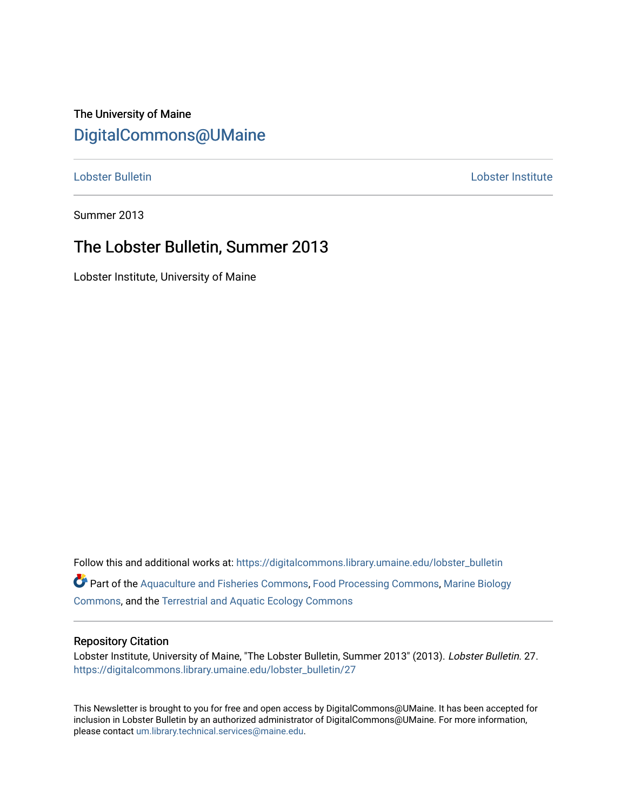# The University of Maine [DigitalCommons@UMaine](https://digitalcommons.library.umaine.edu/)

[Lobster Bulletin](https://digitalcommons.library.umaine.edu/lobster_bulletin) [Lobster Institute](https://digitalcommons.library.umaine.edu/lobster) 

Summer 2013

## The Lobster Bulletin, Summer 2013

Lobster Institute, University of Maine

Follow this and additional works at: [https://digitalcommons.library.umaine.edu/lobster\\_bulletin](https://digitalcommons.library.umaine.edu/lobster_bulletin?utm_source=digitalcommons.library.umaine.edu%2Flobster_bulletin%2F27&utm_medium=PDF&utm_campaign=PDFCoverPages) Part of the [Aquaculture and Fisheries Commons](http://network.bepress.com/hgg/discipline/78?utm_source=digitalcommons.library.umaine.edu%2Flobster_bulletin%2F27&utm_medium=PDF&utm_campaign=PDFCoverPages), [Food Processing Commons,](http://network.bepress.com/hgg/discipline/85?utm_source=digitalcommons.library.umaine.edu%2Flobster_bulletin%2F27&utm_medium=PDF&utm_campaign=PDFCoverPages) [Marine Biology](http://network.bepress.com/hgg/discipline/1126?utm_source=digitalcommons.library.umaine.edu%2Flobster_bulletin%2F27&utm_medium=PDF&utm_campaign=PDFCoverPages) [Commons](http://network.bepress.com/hgg/discipline/1126?utm_source=digitalcommons.library.umaine.edu%2Flobster_bulletin%2F27&utm_medium=PDF&utm_campaign=PDFCoverPages), and the [Terrestrial and Aquatic Ecology Commons](http://network.bepress.com/hgg/discipline/20?utm_source=digitalcommons.library.umaine.edu%2Flobster_bulletin%2F27&utm_medium=PDF&utm_campaign=PDFCoverPages) 

#### Repository Citation

Lobster Institute, University of Maine, "The Lobster Bulletin, Summer 2013" (2013). Lobster Bulletin. 27. [https://digitalcommons.library.umaine.edu/lobster\\_bulletin/27](https://digitalcommons.library.umaine.edu/lobster_bulletin/27?utm_source=digitalcommons.library.umaine.edu%2Flobster_bulletin%2F27&utm_medium=PDF&utm_campaign=PDFCoverPages) 

This Newsletter is brought to you for free and open access by DigitalCommons@UMaine. It has been accepted for inclusion in Lobster Bulletin by an authorized administrator of DigitalCommons@UMaine. For more information, please contact [um.library.technical.services@maine.edu.](mailto:um.library.technical.services@maine.edu)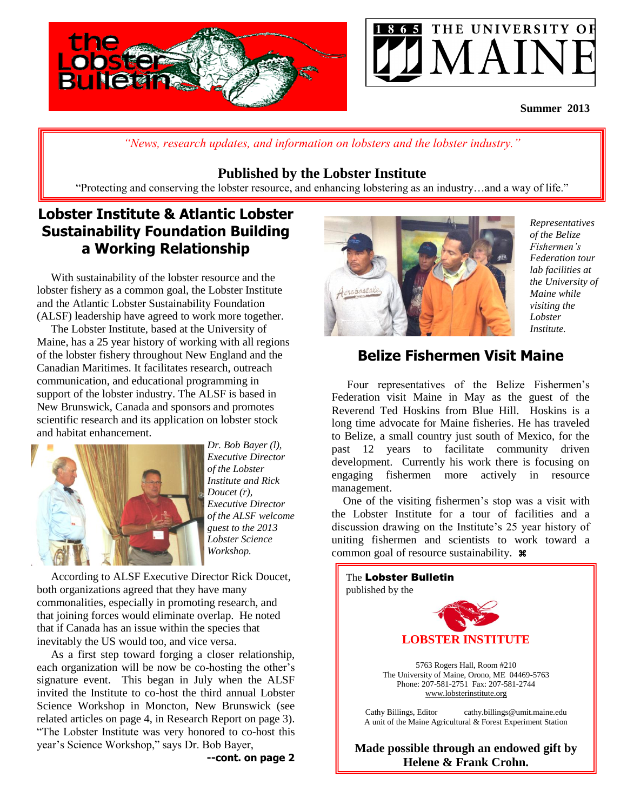



### **Summer 2013**

*"News, research updates, and information on lobsters and the lobster industry."*

### **Published by the Lobster Institute**

"Protecting and conserving the lobster resource, and enhancing lobstering as an industry…and a way of life."

## **Lobster Institute & Atlantic Lobster Sustainability Foundation Building a Working Relationship**

 With sustainability of the lobster resource and the lobster fishery as a common goal, the Lobster Institute and the Atlantic Lobster Sustainability Foundation (ALSF) leadership have agreed to work more together.

 The Lobster Institute, based at the University of Maine, has a 25 year history of working with all regions of the lobster fishery throughout New England and the Canadian Maritimes. It facilitates research, outreach communication, and educational programming in support of the lobster industry. The ALSF is based in New Brunswick, Canada and sponsors and promotes scientific research and its application on lobster stock and habitat enhancement.



*Dr. Bob Bayer (l), Executive Director of the Lobster Institute and Rick Doucet (r), Executive Director of the ALSF welcome guest to the 2013 Lobster Science Workshop.*

 According to ALSF Executive Director Rick Doucet, both organizations agreed that they have many commonalities, especially in promoting research, and that joining forces would eliminate overlap. He noted that if Canada has an issue within the species that inevitably the US would too, and vice versa.

 As a first step toward forging a closer relationship, each organization will be now be co-hosting the other's signature event. This began in July when the ALSF invited the Institute to co-host the third annual Lobster Science Workshop in Moncton, New Brunswick (see related articles on page 4, in Research Report on page 3). "The Lobster Institute was very honored to co-host this year's Science Workshop," says Dr. Bob Bayer,



*Representatives of the Belize Fishermen's Federation tour lab facilities at the University of Maine while visiting the Lobster Institute.*

## **Belize Fishermen Visit Maine**

 Four representatives of the Belize Fishermen's Federation visit Maine in May as the guest of the Reverend Ted Hoskins from Blue Hill. Hoskins is a long time advocate for Maine fisheries. He has traveled to Belize, a small country just south of Mexico, for the past 12 years to facilitate community driven development. Currently his work there is focusing on engaging fishermen more actively in resource management.

 One of the visiting fishermen's stop was a visit with the Lobster Institute for a tour of facilities and a discussion drawing on the Institute's 25 year history of uniting fishermen and scientists to work toward a common goal of resource sustainability.  $\mathcal{H}$ 

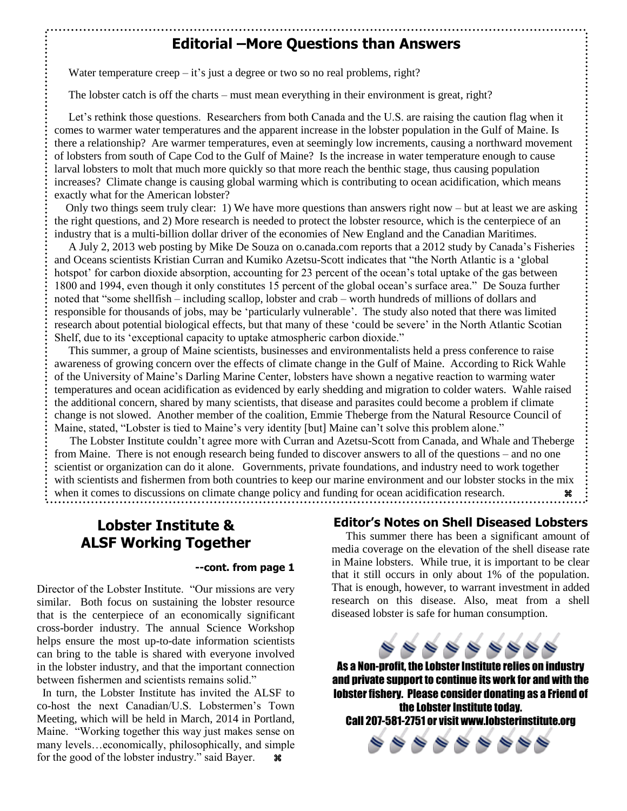### **Editorial –More Questions than Answers**

Water temperature creep  $-$  it's just a degree or two so no real problems, right?

The lobster catch is off the charts – must mean everything in their environment is great, right?

 Let's rethink those questions. Researchers from both Canada and the U.S. are raising the caution flag when it comes to warmer water temperatures and the apparent increase in the lobster population in the Gulf of Maine. Is there a relationship? Are warmer temperatures, even at seemingly low increments, causing a northward movement of lobsters from south of Cape Cod to the Gulf of Maine? Is the increase in water temperature enough to cause larval lobsters to molt that much more quickly so that more reach the benthic stage, thus causing population increases? Climate change is causing global warming which is contributing to ocean acidification, which means exactly what for the American lobster?

 Only two things seem truly clear: 1) We have more questions than answers right now – but at least we are asking the right questions, and 2) More research is needed to protect the lobster resource, which is the centerpiece of an industry that is a multi-billion dollar driver of the economies of New England and the Canadian Maritimes.

 A July 2, 2013 web posting by Mike De Souza on o.canada.com reports that a 2012 study by Canada's Fisheries and Oceans scientists Kristian Curran and Kumiko Azetsu-Scott indicates that "the North Atlantic is a 'global hotspot' for carbon dioxide absorption, accounting for 23 percent of the ocean's total uptake of the gas between 1800 and 1994, even though it only constitutes 15 percent of the global ocean's surface area." De Souza further noted that "some shellfish – including scallop, lobster and crab – worth hundreds of millions of dollars and responsible for thousands of jobs, may be 'particularly vulnerable'. The study also noted that there was limited research about potential biological effects, but that many of these 'could be severe' in the North Atlantic Scotian Shelf, due to its 'exceptional capacity to uptake atmospheric carbon dioxide."

 This summer, a group of Maine scientists, businesses and environmentalists held a press conference to raise awareness of growing concern over the effects of climate change in the Gulf of Maine. According to Rick Wahle of the University of Maine's Darling Marine Center, lobsters have shown a negative reaction to warming water temperatures and ocean acidification as evidenced by early shedding and migration to colder waters. Wahle raised the additional concern, shared by many scientists, that disease and parasites could become a problem if climate change is not slowed. Another member of the coalition, Emmie Theberge from the Natural Resource Council of Maine, stated, "Lobster is tied to Maine's very identity [but] Maine can't solve this problem alone."

 The Lobster Institute couldn't agree more with Curran and Azetsu-Scott from Canada, and Whale and Theberge from Maine. There is not enough research being funded to discover answers to all of the questions – and no one scientist or organization can do it alone. Governments, private foundations, and industry need to work together with scientists and fishermen from both countries to keep our marine environment and our lobster stocks in the mix when it comes to discussions on climate change policy and funding for ocean acidification research. <sup>.</sup>

## **Lobster Institute & ALSF Working Together**

#### **--cont. from page 1**

Director of the Lobster Institute. "Our missions are very similar. Both focus on sustaining the lobster resource that is the centerpiece of an economically significant cross-border industry. The annual Science Workshop helps ensure the most up-to-date information scientists can bring to the table is shared with everyone involved in the lobster industry, and that the important connection between fishermen and scientists remains solid."

 In turn, the Lobster Institute has invited the ALSF to co-host the next Canadian/U.S. Lobstermen's Town Meeting, which will be held in March, 2014 in Portland, Maine. "Working together this way just makes sense on many levels…economically, philosophically, and simple for the good of the lobster industry." said Bayer.  $\bullet$ 

#### **Editor's Notes on Shell Diseased Lobsters**

 This summer there has been a significant amount of media coverage on the elevation of the shell disease rate in Maine lobsters. While true, it is important to be clear that it still occurs in only about 1% of the population. That is enough, however, to warrant investment in added research on this disease. Also, meat from a shell diseased lobster is safe for human consumption.



As a Non-profit, the Lobster Institute relies on industry and private support to continue its work for and with the lobster fishery. Please consider donating as a Friend of the Lobster Institute today. Call 207-581-2751 or visit www.lobsterinstitute.org

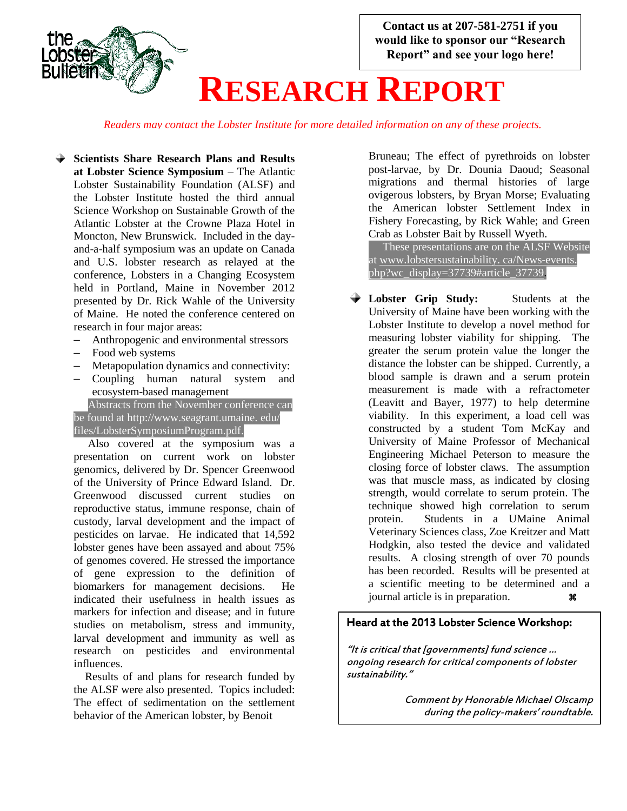

*Readers may contact the Lobster Institute for more detailed information on any of these projects.*

- **Scientists Share Research Plans and Results at Lobster Science Symposium** – The Atlantic Lobster Sustainability Foundation (ALSF) and the Lobster Institute hosted the third annual Science Workshop on Sustainable Growth of the Atlantic Lobster at the Crowne Plaza Hotel in Moncton, New Brunswick. Included in the dayand-a-half symposium was an update on Canada and U.S. lobster research as relayed at the conference, Lobsters in a Changing Ecosystem held in Portland, Maine in November 2012 presented by Dr. Rick Wahle of the University of Maine. He noted the conference centered on research in four major areas:
	- Anthropogenic and environmental stressors
	- Food web systems
	- Metapopulation dynamics and connectivity:
	- Coupling human natural system and ecosystem-based management

 Abstracts from the November conference can be found at http://www.seagrant.umaine. edu/ files/LobsterSymposiumProgram.pdf.

 Also covered at the symposium was a presentation on current work on lobster genomics, delivered by Dr. Spencer Greenwood of the University of Prince Edward Island. Dr. Greenwood discussed current studies on reproductive status, immune response, chain of custody, larval development and the impact of pesticides on larvae. He indicated that 14,592 lobster genes have been assayed and about 75% of genomes covered. He stressed the importance of gene expression to the definition of biomarkers for management decisions. He indicated their usefulness in health issues as markers for infection and disease; and in future studies on metabolism, stress and immunity, larval development and immunity as well as research on pesticides and environmental influences.

 Results of and plans for research funded by the ALSF were also presented. Topics included: The effect of sedimentation on the settlement behavior of the American lobster, by Benoit

Bruneau; The effect of pyrethroids on lobster post-larvae, by Dr. Dounia Daoud; Seasonal migrations and thermal histories of large ovigerous lobsters, by Bryan Morse; Evaluating the American lobster Settlement Index in Fishery Forecasting, by Rick Wahle; and Green Crab as Lobster Bait by Russell Wyeth.

 These presentations are on the ALSF Website at www.lobstersustainability. ca/News-events. php?wc\_display=37739#article\_37739.

**Lobster Grip Study:** Students at the University of Maine have been working with the Lobster Institute to develop a novel method for measuring lobster viability for shipping. The greater the serum protein value the longer the distance the lobster can be shipped. Currently, a blood sample is drawn and a serum protein measurement is made with a refractometer (Leavitt and Bayer, 1977) to help determine viability. In this experiment, a load cell was constructed by a student Tom McKay and University of Maine Professor of Mechanical Engineering Michael Peterson to measure the closing force of lobster claws. The assumption was that muscle mass, as indicated by closing strength, would correlate to serum protein. The technique showed high correlation to serum protein. Students in a UMaine Animal Veterinary Sciences class, Zoe Kreitzer and Matt Hodgkin, also tested the device and validated results. A closing strength of over 70 pounds has been recorded. Results will be presented at a scientific meeting to be determined and a journal article is in preparation.

### Heard at the 2013 Lobster Science Workshop:

"It is critical that [governments] fund science … ongoing research for critical components of lobster sustainability."

> Comment by Honorable Michael Olscamp during the policy-makers' roundtable.